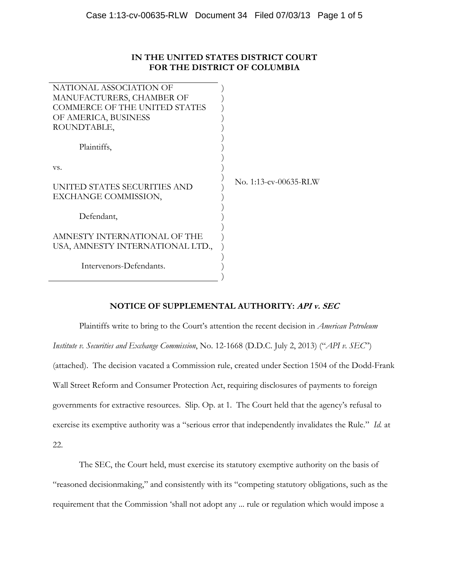# **IN THE UNITED STATES DISTRICT COURT FOR THE DISTRICT OF COLUMBIA**

| NATIONAL ASSOCIATION OF                                          |                       |
|------------------------------------------------------------------|-----------------------|
| MANUFACTURERS, CHAMBER OF                                        |                       |
| <b>COMMERCE OF THE UNITED STATES</b>                             |                       |
| OF AMERICA, BUSINESS                                             |                       |
| ROUNDTABLE,                                                      |                       |
| Plaintiffs,                                                      |                       |
|                                                                  |                       |
| VS.                                                              |                       |
| UNITED STATES SECURITIES AND<br>EXCHANGE COMMISSION,             | No. 1:13-cv-00635-RLW |
| Defendant,                                                       |                       |
| AMNESTY INTERNATIONAL OF THE<br>USA, AMNESTY INTERNATIONAL LTD., |                       |
| Intervenors-Defendants.                                          |                       |
|                                                                  |                       |

## **NOTICE OF SUPPLEMENTAL AUTHORITY: API v. SEC**

 Plaintiffs write to bring to the Court's attention the recent decision in *American Petroleum Institute v. Securities and Exchange Commission*, No. 12-1668 (D.D.C. July 2, 2013) ("*API v. SEC*") (attached). The decision vacated a Commission rule, created under Section 1504 of the Dodd-Frank Wall Street Reform and Consumer Protection Act, requiring disclosures of payments to foreign governments for extractive resources. Slip. Op. at 1. The Court held that the agency's refusal to exercise its exemptive authority was a "serious error that independently invalidates the Rule." *Id.* at 22.

 The SEC, the Court held, must exercise its statutory exemptive authority on the basis of "reasoned decisionmaking," and consistently with its "competing statutory obligations, such as the requirement that the Commission 'shall not adopt any ... rule or regulation which would impose a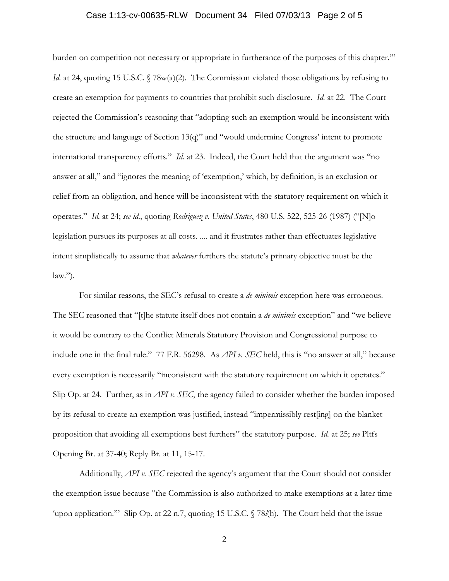#### Case 1:13-cv-00635-RLW Document 34 Filed 07/03/13 Page 2 of 5

burden on competition not necessary or appropriate in furtherance of the purposes of this chapter.'" *Id.* at 24, quoting 15 U.S.C. § 78w(a)(2). The Commission violated those obligations by refusing to create an exemption for payments to countries that prohibit such disclosure. *Id.* at 22. The Court rejected the Commission's reasoning that "adopting such an exemption would be inconsistent with the structure and language of Section 13(q)" and "would undermine Congress' intent to promote international transparency efforts." *Id.* at 23. Indeed, the Court held that the argument was "no answer at all," and "ignores the meaning of 'exemption,' which, by definition, is an exclusion or relief from an obligation, and hence will be inconsistent with the statutory requirement on which it operates." *Id.* at 24; *see id.*, quoting *Rodriguez v. United States*, 480 U.S. 522, 525-26 (1987) ("[N]o legislation pursues its purposes at all costs. .... and it frustrates rather than effectuates legislative intent simplistically to assume that *whatever* furthers the statute's primary objective must be the  $law.'$ ).

For similar reasons, the SEC's refusal to create a *de minimis* exception here was erroneous. The SEC reasoned that "[t]he statute itself does not contain a *de minimis* exception" and "we believe it would be contrary to the Conflict Minerals Statutory Provision and Congressional purpose to include one in the final rule." 77 F.R. 56298. As *API v. SEC* held, this is "no answer at all," because every exemption is necessarily "inconsistent with the statutory requirement on which it operates." Slip Op. at 24. Further, as in *API v. SEC*, the agency failed to consider whether the burden imposed by its refusal to create an exemption was justified, instead "impermissibly rest[ing] on the blanket proposition that avoiding all exemptions best furthers" the statutory purpose. *Id.* at 25; *see* Pltfs Opening Br. at 37-40; Reply Br. at 11, 15-17.

 Additionally, *API v. SEC* rejected the agency's argument that the Court should not consider the exemption issue because "the Commission is also authorized to make exemptions at a later time 'upon application.'" Slip Op. at 22 n.7, quoting 15 U.S.C. § 78*l*(h). The Court held that the issue

2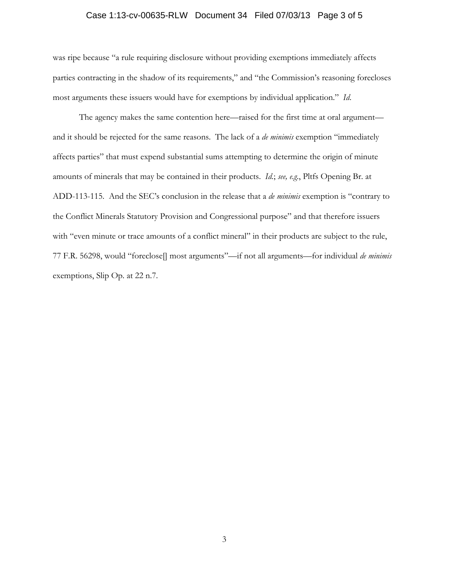### Case 1:13-cv-00635-RLW Document 34 Filed 07/03/13 Page 3 of 5

was ripe because "a rule requiring disclosure without providing exemptions immediately affects parties contracting in the shadow of its requirements," and "the Commission's reasoning forecloses most arguments these issuers would have for exemptions by individual application." *Id*.

The agency makes the same contention here—raised for the first time at oral argument and it should be rejected for the same reasons. The lack of a *de minimis* exemption "immediately affects parties" that must expend substantial sums attempting to determine the origin of minute amounts of minerals that may be contained in their products. *Id.*; *see, e.g.*, Pltfs Opening Br. at ADD-113-115. And the SEC's conclusion in the release that a *de minimis* exemption is "contrary to the Conflict Minerals Statutory Provision and Congressional purpose" and that therefore issuers with "even minute or trace amounts of a conflict mineral" in their products are subject to the rule, 77 F.R. 56298, would "foreclose[] most arguments"—if not all arguments—for individual *de minimis* exemptions, Slip Op. at 22 n.7.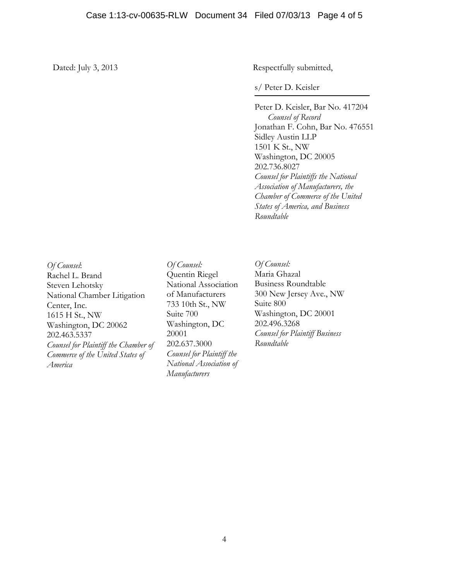Dated: July 3, 2013 Respectfully submitted,

s/ Peter D. Keisler

Peter D. Keisler, Bar No. 417204 *Counsel of Record*  Jonathan F. Cohn, Bar No. 476551 Sidley Austin LLP 1501 K St., NW Washington, DC 20005 202.736.8027 *Counsel for Plaintiffs the National Association of Manufacturers, the Chamber of Commerce of the United States of America, and Business Roundtable* 

*Of Counsel*: Rachel L. Brand Steven Lehotsky National Chamber Litigation Center, Inc. 1615 H St., NW Washington, DC 20062 202.463.5337 *Counsel for Plaintiff the Chamber of Commerce of the United States of America* 

*Of Counsel:*  Quentin Riegel National Association of Manufacturers 733 10th St., NW Suite 700 Washington, DC 20001 202.637.3000 *Counsel for Plaintiff the National Association of Manufacturers* 

*Of Counsel:*  Maria Ghazal Business Roundtable 300 New Jersey Ave., NW Suite 800 Washington, DC 20001 202.496.3268 *Counsel for Plaintiff Business Roundtable*